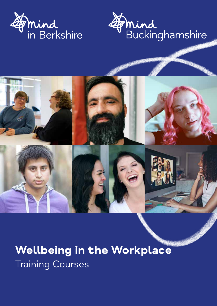



# **Wellbeing in the Workplace** Training Courses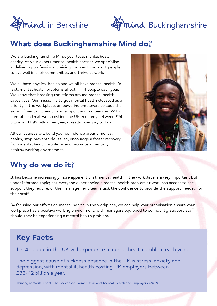



## What does Buckinghamshire Mind do?

We are Buckinghamshire Mind, your local mental health charity. As your expert mental health partner, we specialise in delivering professional training courses to support people to live well in their communities and thrive at work.

We all have physical health and we all have mental health. In fact, mental health problems affect 1 in 4 people each year. We know that breaking the stigma around mental health saves lives. Our mission is to get mental health elevated as a priority in the workplace, empowering employers to spot the signs of mental ill health and support your colleagues. With mental health at work costing the UK economy between £74 billion and £99 billion per year, it really does pay to talk.

All our courses will build your confidence around mental health, stop preventable issues, encourage a faster recovery from mental health problems and promote a mentally healthy working environment.



## Why do we do it?

It has become increasingly more apparent that mental health in the workplace is a very important but under-informed topic; not everyone experiencing a mental health problem at work has access to the support they require, or their management teams lack the confidence to provide the support needed for their staff.

By focusing our efforts on mental health in the workplace, we can help your organisation ensure your workplace has a positive working environment, with managers equipped to confidently support staff should they be experiencing a mental health problem.

## **Key Facts**

1 in 4 people in the UK will experience a mental health problem each year.

The biggest cause of sickness absence in the UK is stress, anxiety and depression, with mental ill health costing UK employers between £33-42 billion a year.

Thriving at Work report: The Stevenson Farmer Review of Mental Health and Employers (2017)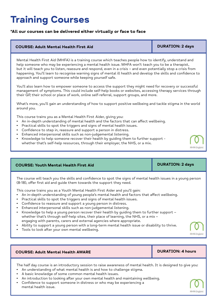# **Training Courses**

### **\*All our courses can be delivered either virtually or face to face**

### **COURSE: Adult Mental Health First Aid DURATION: 2 days**

Mental Health First Aid (MHFA) is a training course which teaches people how to identify, understand and help someone who may be experiencing a mental health issue. MHFA won't teach you to be a therapist, but it will teach you to listen, reassure and respond, even in a crisis – and even potentially stop a crisis from happening. You'll learn to recognise warning signs of mental ill health and develop the skills and confidence to approach and support someone while keeping yourself safe.

You'll also learn how to empower someone to access the support they might need for recovery or successful management of symptoms. This could include self-help books or websites, accessing therapy services through their GP, their school or place of work, online self-referral, support groups, and more.

What's more, you'll gain an understanding of how to support positive wellbeing and tackle stigma in the world around you.

This course trains you as a Mental Health First Aider, giving you:

- An in-depth understanding of mental health and the factors that can affect wellbeing.
- Practical skills to spot the triggers and signs of mental health issues.
- Confidence to step in, reassure and support a person in distress.
- Enhanced interpersonal skills such as non-judgemental listening.
- Knowledge to help someone recover their health by guiding them to further support whether that's self-help resources, through their employer, the NHS, or a mix.

#### **COURSE: Youth Mental Health First Aid**

The course will teach you the skills and confidence to spot the signs of mental health issues in a young person (8-18), offer first aid and guide them towards the support they need.

This course trains you as a Youth Mental Health First Aider and you'll gain:

- An in-depth understanding of young people's mental health and factors that affect wellbeing.
- Practical skills to spot the triggers and signs of mental health issues.
- Confidence to reassure and support a young person in distress.
- Enhanced interpersonal skills such as non-judgemental listening.
- Knowledge to help a young person recover their health by guiding them to further support whether that's through self-help sites, their place of learning, the NHS, or a mix engaging with parents, carers and external agencies where appropriate.
- Ability to support a young person with a long-term mental health issue or disability to thrive.
- Tools to look after your own mental wellbeing.

### **COURSE: Adult Mental Health AWARE DURATION: 4 hours**

The half day course is an introductory session to raise awareness of mental health. It is designed to give you:

- An understanding of what mental health is and how to challenge stigma.
- A basic knowledge of some common mental health issues.
- An introduction to looking after your own mental health and maintaining wellbeing.
- Confidence to support someone in distress or who may be experiencing a mental health issue.



**DURATION: 2 days**

MHFA Englar

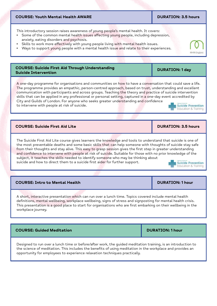#### **COURSE: Youth Mental Health AWARE**

This introductory session raises awareness of young people's mental health. It covers:

- Some of the common mental health issues affecting young people, including depression, anxiety, eating disorders and psychosis.
- Skills to work more effectively with young people living with mental health issues.
- Ways to support young people with a mental health issue and relate to their experiences.

## **COURSE: Suicide First Aid Through Understanding Suicide Intervention DURATION: 1 day**

A one-day programme for organisations and communities on how to have a conversation that could save a life. The programme provides an empathic, person-centred approach, based on trust, understanding and excellent communication with participants and across groups. Teaching the theory and practice of suicide intervention skills that can be applied in any professional or personal setting, captured in a one-day event accredited by City and Guilds of London. For anyone who seeks greater understanding and confidence to intervene with people at risk of suicide.

### **COURSE: Suicide First Aid Lite DURATION: 3.5 hours**

The Suicide First Aid Lite course gives learners the knowledge and tools to understand that suicide is one of the most preventable deaths and some basic skills that can help someone with thoughts of suicide stay safe from their thoughts and stay alive. This easy to grasp session gives the first step in greater understanding and confidence to intervene with people at risk of suicide. Suitable for those with no prior knowledge of the subject, it teaches the skills needed to identify someone who may be thinking about suicide and how to direct them to a suicide first aider for further support. **Suicide Prevention** 

**COURSE: Intro to Mental Health DURATION: 1 hour** 

A short, interactive presentation which can run over a lunch time. Topics covered include mental health definitions, mental wellbeing, workplace wellbeing, signs of stress and signposting for mental health crisis. This presentation is a good place to start for organisations who are first embarking on their wellbeing in the workplace journey.

Designed to run over a lunch time or before/after work, the guided meditation training, is an introduction to the science of meditation. This includes the benefits of using meditation in the workplace and provides an opportunity for employees to experience relaxation techniques practically.

**COURSE: Guided Meditation COURSE: Guided Meditation COURSE: All DURATION: 1 hour** 





MHFA Fna

## Education & Training

**DURATION: 3.5 hours**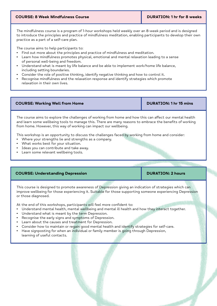### **COURSE: 8 Week Mindfulness Course DURATION: 1 hr for 8 weeks**

The mindfulness course is a program of 1-hour workshops held weekly over an 8-week period and is designed to introduce the principles and practice of mindfulness meditation, enabling participants to develop their own practice as a part of a self-care plan.

The course aims to help participants to:

- Find out more about the principles and practice of mindfulness and meditation.
- Learn how mindfulness promotes physical, emotional and mental relaxation leading to a sense of personal well-being and freedom.
- Understand what is meant by life balance and be able to implement work/home life balance, including setting boundaries.
- Consider the role of positive thinking, identify negative thinking and how to control it.
- Recognise mindfulness and the relaxation response and identify strategies which promote relaxation in their own lives.

**COURSE: Working Well from Home DURATION: 1 hr 15 mins** 

The course aims to explore the challenges of working from home and how this can affect our mental health and learn some wellbeing tools to manage this. There are many reasons to embrace the benefits of working from home. However, this way of working can impact our wellbeing.

This workshop is an opportunity to discuss the challenges faced by working from home and consider:

- Where your strengths lie and strengths as a company.
- What works best for your situation.
- Ideas you can contribute and take away.
- Learn some relevant wellbeing tools.

### **COURSE: Understanding Depression DEPA COURSE: Understanding Depression DURATION: 2 hours**

This course is designed to promote awareness of Depression giving an indication of strategies which can improve wellbeing for those experiencing it. Suitable for those supporting someone experiencing Depression or those diagnosed.

At the end of this workshops, participants will feel more confident to:

- Understand mental health, mental wellbeing and mental ill health and how they interact together.
- Understand what is meant by the term Depression.
- Recognise the early signs and symptoms of Depression.
- Learn about the causes and treatment for Depression.
- Consider how to maintain or regain good mental health and identify strategies for self-care.
- Have signposting for when an individual or family member is going through Depression, learning of useful contacts.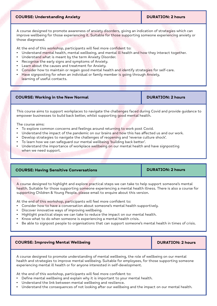### **COURSE: Understanding Anxiety**

#### **DURATION: 2 hours**

A course designed to promote awareness of anxiety disorders, giving an indication of strategies which can improve wellbeing for those experiencing it. Suitable for those supporting someone experiencing anxiety or those diagnosed.

At the end of this workshop, participants will feel more confident to:

- Understand mental health, mental wellbeing, and mental ill health and how they interact together.
- Understand what is meant by the term Anxiety Disorder.
- Recognise the early signs and symptoms of Anxiety.
- Learn about the causes and treatment for Anxiety.
- Consider how to maintain or regain good mental health and identify strategies for self-care.
- Have signposting for when an individual or family member is going through Anxiety, learning of useful contacts.

| <b>COURSE: Working in the New Normal</b> | <b>DURATION: 2 hours</b> |
|------------------------------------------|--------------------------|
|------------------------------------------|--------------------------|

This course aims to support workplaces to navigate the challenges faced during Covid and provide guidance to empower businesses to build back better, whilst supporting good mental health.

The course aims:

- To explore common concerns and feelings around returning to work post Covid.
- Understand the impact of the pandemic on our brains and how this has affected us and our work.
- Develop strategies to navigate the challenges of reopening and 'reverse culture shock'.
- To learn how we can safeguard our mental wellbeing 'building back better'.
- Understand the importance of workplace wellbeing on our mental health and have signposting when we need support.

| <b>COURSE: Having Sensitive Conversations</b> | <b>DURATION: 2 hours</b> |
|-----------------------------------------------|--------------------------|
|                                               |                          |

A course designed to highlight and explore practical steps we can take to help support someone's mental health. Suitable for those supporting someone experiencing a mental health illness. There is also a course for supporting Children & Young People, please email to enquire about this version.

At the end of this workshop, participants will feel more confident to:

- Consider how to have a conversation about someone's mental health supportively.
- Discover innovative ways of improving wellbeing.
- Highlight practical steps we can take to reduce the impact on our mental health.
- Know what to do when someone is experiencing a mental health crisis.
- Be able to signpost people to organisations that can support someone's mental health in times of crisis.

#### **COURSE: Improving Mental Wellbeing COURSE: Improving Mental Wellbeing COURSE: DURATION: 2 hours**

A course designed to promote understanding of mental wellbeing, the role of wellbeing on our mental health and strategies to improve mental wellbeing. Suitable for employees, for those supporting someone experiencing mental ill health or for anyone interested in self-development.

At the end of this workshop, participants will feel more confident to:

- Define mental wellbeing and explain why it is important to your mental health.
- Understand the link between mental wellbeing and resilience.
- Understand the consequences of not looking after our wellbeing and the impact on our mental health.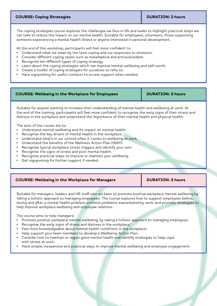### **COURSE: Coping Strategies Access 2 hourse DURATION: 2 hours**

The coping strategies course explores the challenges we face in life and seeks to highlight practical steps we can take to reduce the impact on our mental health. Suitable for employees, volunteers, those supporting someone experiencing a mental health illness or anyone interested in personal development.

At the end of this workshop, participants will feel more confident to:

- Understand what we mean by the term coping and our responses to stressors.
- Consider different coping styles such as maladaptive and active/avoidant.
- Recognise ten different types of coping strategy.
- Learn about the coping strategies which can improve mental wellbeing and self-worth.
- Create a toolkit of coping strategies for ourselves to refer to.
- Have signposting for useful contacts to access support when needed.

#### **COURSE: Wellbeing in the Workplace for Employees DURATION: 3 hours**

Suitable for anyone wanting to increase their understanding of mental health and wellbeing at work. At the end of the training, participants will feel more confident to recognise the early signs of their stress and distress in the workplace and understand the importance of their mental health and physical health.

The aims of the course are to:

- Understand mental wellbeing and its impact on mental health.
- Recognise the key drivers of mental health in the workplace.
- Understand what's in our control when it comes to wellbeing at work.
- Understand the benefits of the Wellness Action Plan (WAP).
- Recognise typical workplace stress triggers and identify your own.
- Recognise the signs of stress and poor mental health.
- Recognise practical steps to improve or maintain your wellbeing.
- Get signposting for further support if needed.

### **COURSE: Wellbeing in the Workplace for Managers <b>DURATION: 3 hours**

Suitable for managers, leaders and HR staff who are keen to promote positive workplace mental wellbeing by taking a holistic approach to managing employees. The course explores how to support employees before, during and after a mental health problem, common problems exacerbated by work, and provides strategies to help improve workplace wellbeing and employee relations.

The course aims to help managers:

- Promote positive workplace mental wellbeing, by taking a holistic approach to managing employees.
- Recognise the early signs of stress and distress in the workplace.
- Feel more knowledgeable about mental health conditions in the workplace.
- Help support your team members to develop a Wellbeing Action Plan.
- Consider how to maintain or regain good mental health and identify strategies to help cope with stress at work.
- Have simple, inexpensive and practical ways to improve mental wellbeing and employee engagement.